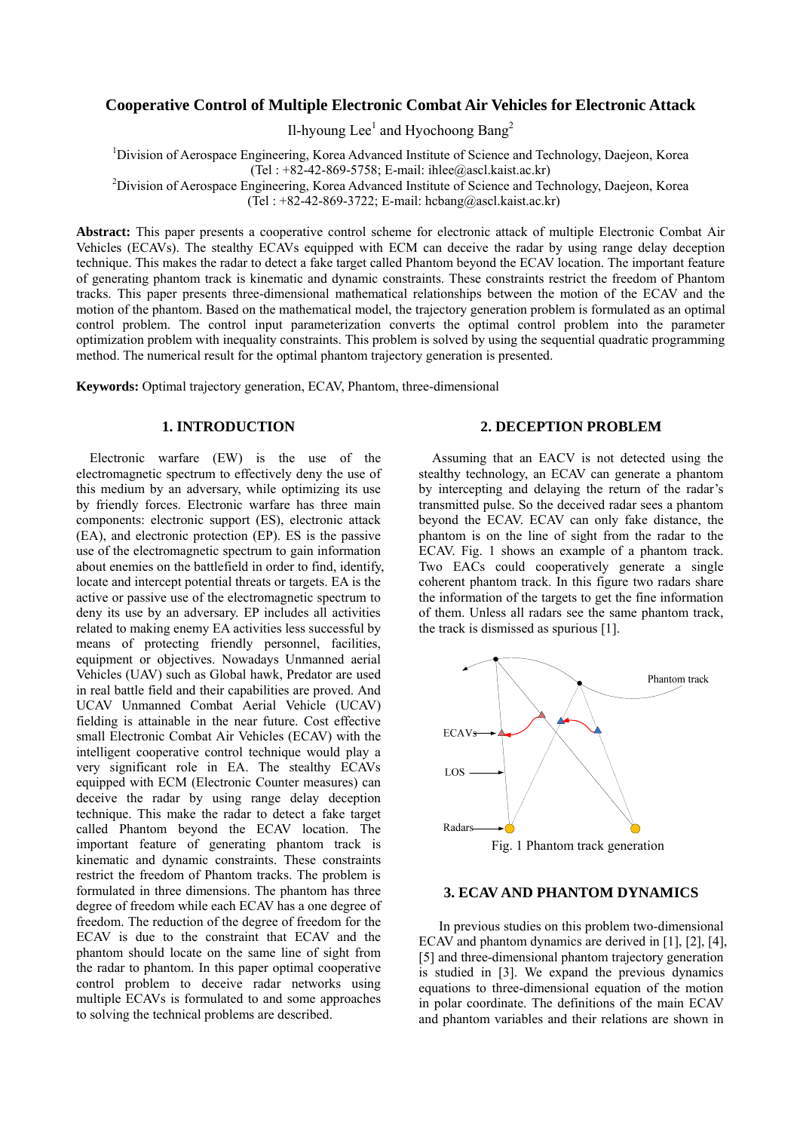# **Cooperative Control of Multiple Electronic Combat Air Vehicles for Electronic Attack**

Il-hyoung Lee<sup>1</sup> and Hyochoong Bang<sup>2</sup>

<sup>1</sup>Division of Aerospace Engineering, Korea Advanced Institute of Science and Technology, Daejeon, Korea (Tel:  $+82-42-869-5758$ ; E-mail: ihlee@ascl.kaist.ac.kr)

<sup>2</sup>Division of Aerospace Engineering, Korea Advanced Institute of Science and Technology, Daejeon, Korea (Tel:  $+82-42-869-3722$ ; E-mail: hcbang@ascl.kaist.ac.kr)

**Abstract:** This paper presents a cooperative control scheme for electronic attack of multiple Electronic Combat Air Vehicles (ECAVs). The stealthy ECAVs equipped with ECM can deceive the radar by using range delay deception technique. This makes the radar to detect a fake target called Phantom beyond the ECAV location. The important feature of generating phantom track is kinematic and dynamic constraints. These constraints restrict the freedom of Phantom tracks. This paper presents three-dimensional mathematical relationships between the motion of the ECAV and the motion of the phantom. Based on the mathematical model, the trajectory generation problem is formulated as an optimal control problem. The control input parameterization converts the optimal control problem into the parameter optimization problem with inequality constraints. This problem is solved by using the sequential quadratic programming method. The numerical result for the optimal phantom trajectory generation is presented.

**Keywords:** Optimal trajectory generation, ECAV, Phantom, three-dimensional

## **1. INTRODUCTION**

Electronic warfare (EW) is the use of the electromagnetic spectrum to effectively deny the use of this medium by an adversary, while optimizing its use by friendly forces. Electronic warfare has three main components: electronic support (ES), electronic attack (EA), and electronic protection (EP). ES is the passive use of the electromagnetic spectrum to gain information about enemies on the battlefield in order to find, identify, locate and intercept potential threats or targets. EA is the active or passive use of the electromagnetic spectrum to deny its use by an adversary. EP includes all activities related to making enemy EA activities less successful by means of protecting friendly personnel, facilities, equipment or objectives. Nowadays Unmanned aerial Vehicles (UAV) such as Global hawk, Predator are used in real battle field and their capabilities are proved. And UCAV Unmanned Combat Aerial Vehicle (UCAV) fielding is attainable in the near future. Cost effective small Electronic Combat Air Vehicles (ECAV) with the intelligent cooperative control technique would play a very significant role in EA. The stealthy ECAVs equipped with ECM (Electronic Counter measures) can deceive the radar by using range delay deception technique. This make the radar to detect a fake target called Phantom beyond the ECAV location. The important feature of generating phantom track is kinematic and dynamic constraints. These constraints restrict the freedom of Phantom tracks. The problem is formulated in three dimensions. The phantom has three degree of freedom while each ECAV has a one degree of freedom. The reduction of the degree of freedom for the ECAV is due to the constraint that ECAV and the phantom should locate on the same line of sight from the radar to phantom. In this paper optimal cooperative control problem to deceive radar networks using multiple ECAVs is formulated to and some approaches to solving the technical problems are described.

# **2. DECEPTION PROBLEM**

Assuming that an EACV is not detected using the stealthy technology, an ECAV can generate a phantom by intercepting and delaying the return of the radar's transmitted pulse. So the deceived radar sees a phantom beyond the ECAV. ECAV can only fake distance, the phantom is on the line of sight from the radar to the ECAV. Fig. 1 shows an example of a phantom track. Two EACs could cooperatively generate a single coherent phantom track. In this figure two radars share the information of the targets to get the fine information of them. Unless all radars see the same phantom track, the track is dismissed as spurious [1].



### **3. ECAV AND PHANTOM DYNAMICS**

 In previous studies on this problem two-dimensional ECAV and phantom dynamics are derived in [1], [2], [4], [5] and three-dimensional phantom trajectory generation is studied in [3]. We expand the previous dynamics equations to three-dimensional equation of the motion in polar coordinate. The definitions of the main ECAV and phantom variables and their relations are shown in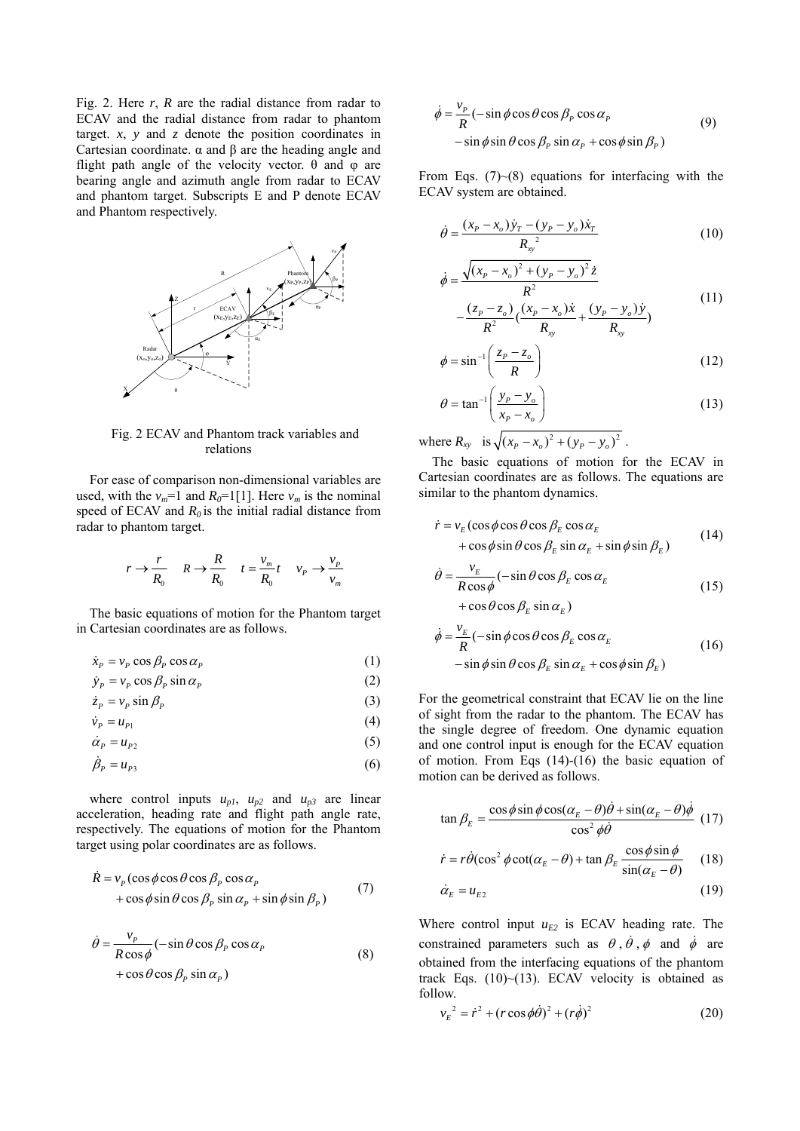Fig. 2. Here *r*, *R* are the radial distance from radar to ECAV and the radial distance from radar to phantom target.  $x$ ,  $y$  and  $z$  denote the position coordinates in Cartesian coordinate. α and β are the heading angle and flight path angle of the velocity vector.  $\theta$  and  $\varphi$  are bearing angle and azimuth angle from radar to ECAV and phantom target. Subscripts E and P denote ECAV and Phantom respectively.



Fig. 2 ECAV and Phantom track variables and relations

For ease of comparison non-dimensional variables are used, with the  $v_m$ =1 and  $R_0$ =1[1]. Here  $v_m$  is the nominal speed of ECAV and  $R_0$  is the initial radial distance from radar to phantom target.

$$
r \to \frac{r}{R_0} \quad R \to \frac{R}{R_0} \quad t = \frac{v_m}{R_0}t \quad v_p \to \frac{v_p}{v_m}
$$

The basic equations of motion for the Phantom target in Cartesian coordinates are as follows.

$$
\dot{x}_p = v_p \cos \beta_p \cos \alpha_p \tag{1}
$$

$$
\dot{y}_P = v_P \cos \beta_P \sin \alpha_P \tag{2}
$$

$$
\dot{z}_P = v_P \sin \beta_P \tag{3}
$$

$$
\dot{\nu}_P = u_{P1} \tag{4}
$$

$$
\dot{\alpha}_P = u_{P2} \tag{5}
$$

$$
\dot{\beta}_P = u_{P3} \tag{6}
$$

where control inputs  $u_{p1}$ ,  $u_{p2}$  and  $u_{p3}$  are linear acceleration, heading rate and flight path angle rate, respectively. The equations of motion for the Phantom target using polar coordinates are as follows.

$$
\dot{R} = v_p (\cos \phi \cos \theta \cos \beta_p \cos \alpha_p + \cos \phi \sin \theta \cos \beta_p \sin \alpha_p + \sin \phi \sin \beta_p)
$$
(7)

$$
\dot{\theta} = \frac{v_p}{R\cos\phi} (-\sin\theta\cos\beta_p\cos\alpha_p + \cos\theta\cos\beta_p\sin\alpha_p)
$$
\n(8)

$$
\dot{\phi} = \frac{v_p}{R} (-\sin\phi\cos\theta\cos\beta_p\cos\alpha_p - \sin\phi\sin\theta\cos\beta_p\sin\alpha_p + \cos\phi\sin\beta_p)
$$
\n(9)

From Eqs.  $(7)~(8)$  equations for interfacing with the ECAV system are obtained.

$$
\dot{\theta} = \frac{(x_p - x_o)\dot{y}_T - (y_p - y_o)\dot{x}_T}{R_{\rm sv}^2}
$$
\n(10)

$$
\dot{\phi} = \frac{\sqrt{(x_p - x_o)^2 + (y_p - y_o)^2} \dot{z}}{R^2} - \frac{(z_p - z_o)}{R^2} \left(\frac{(x_p - x_o)\dot{x}}{R_{xy}} + \frac{(y_p - y_o)\dot{y}}{R_{xy}}\right)
$$
(11)

$$
\phi = \sin^{-1}\left(\frac{z_p - z_o}{R}\right) \tag{12}
$$

 $R_{xy}$ 

$$
\theta = \tan^{-1}\left(\frac{y_p - y_o}{x_p - x_o}\right) \tag{13}
$$

where  $R_{xy}$  is  $\sqrt{(x_p - x_o)^2 + (y_p - y_o)^2}$ .

φ

The basic equations of motion for the ECAV in Cartesian coordinates are as follows. The equations are similar to the phantom dynamics.

$$
\dot{r} = v_E (\cos \phi \cos \theta \cos \beta_E \cos \alpha_E + \cos \phi \sin \theta \cos \beta_E \sin \alpha_E + \sin \phi \sin \beta_E)
$$
(14)

$$
\dot{\theta} = \frac{v_E}{R \cos \phi} (-\sin \theta \cos \beta_E \cos \alpha_E + \cos \theta \cos \beta_E \sin \alpha_E)
$$
\n(15)

$$
\dot{\phi} = \frac{v_E}{R} (-\sin\phi\cos\theta\cos\beta_E\cos\alpha_E
$$
  
- sin  $\phi$  sin  $\theta$  cos  $\beta_E$  sin  $\alpha_E$  + cos  $\phi$  sin  $\beta_E$ ) (16)

For the geometrical constraint that ECAV lie on the line of sight from the radar to the phantom. The ECAV has the single degree of freedom. One dynamic equation and one control input is enough for the ECAV equation of motion. From Eqs (14)-(16) the basic equation of motion can be derived as follows.

$$
\tan \beta_E = \frac{\cos \phi \sin \phi \cos(\alpha_E - \theta)\dot{\theta} + \sin(\alpha_E - \theta)\dot{\phi}}{\cos^2 \phi \dot{\theta}} \tag{17}
$$

$$
\dot{r} = r\dot{\theta}(\cos^2\phi\cot(\alpha_E - \theta) + \tan\beta_E \frac{\cos\phi\sin\phi}{\sin(\alpha_E - \theta)} \quad (18)
$$

$$
\dot{\alpha}_E = u_{E2} \tag{19}
$$

Where control input  $u_{E2}$  is ECAV heading rate. The constrained parameters such as  $\theta$ ,  $\dot{\theta}$ ,  $\phi$  and  $\dot{\phi}$  are obtained from the interfacing equations of the phantom track Eqs.  $(10)$   $\sim$   $(13)$ . ECAV velocity is obtained as

follow.  
\n
$$
v_E^2 = \dot{r}^2 + (r \cos \phi \dot{\theta})^2 + (r \dot{\phi})^2
$$
\n(20)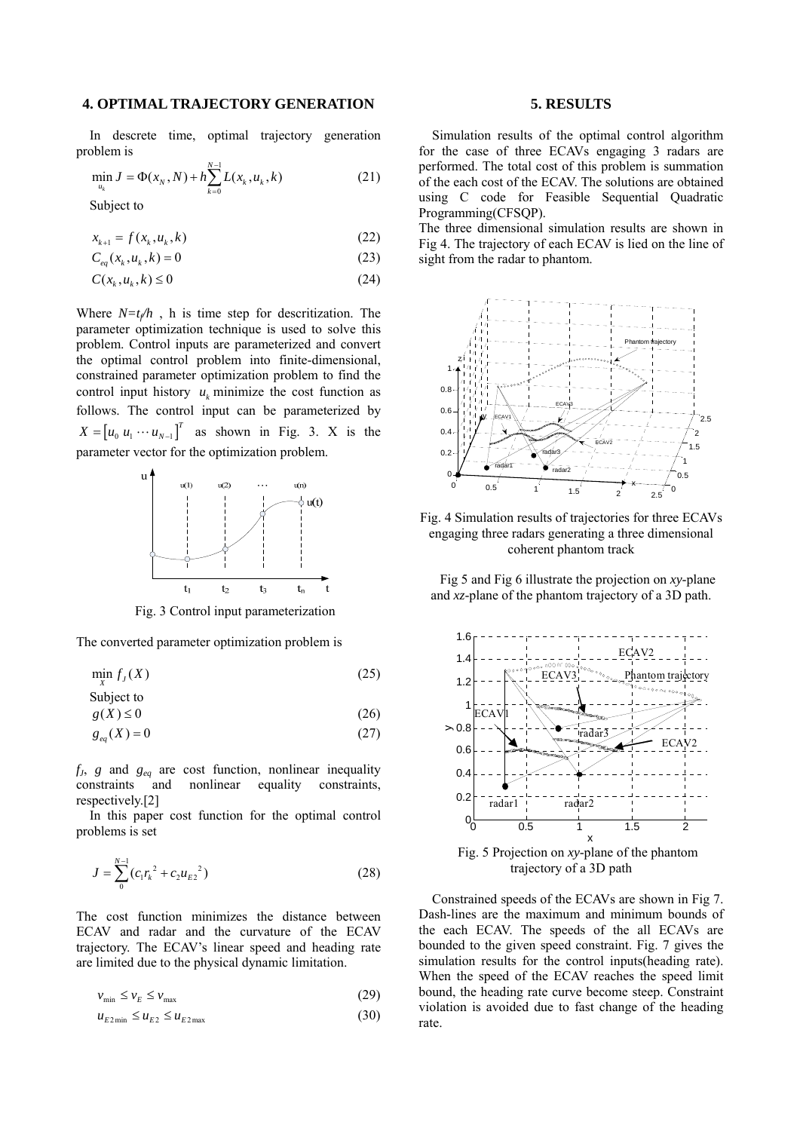### **4. OPTIMAL TRAJECTORY GENERATION**

In descrete time, optimal trajectory generation problem is

$$
\min_{u_k} J = \Phi(x_N, N) + h \sum_{k=0}^{N-1} L(x_k, u_k, k)
$$
\n(21)

Subject to

$$
x_{k+1} = f(x_k, u_k, k)
$$
 (22)

$$
C_{eq}(x_k, u_k, k) = 0
$$
\n(23)

$$
C(x_k, u_k, k) \le 0 \tag{24}
$$

Where  $N=t_f/h$ , h is time step for descritization. The parameter optimization technique is used to solve this problem. Control inputs are parameterized and convert the optimal control problem into finite-dimensional, constrained parameter optimization problem to find the control input history  $u_k$  minimize the cost function as follows. The control input can be parameterized by  $X = [u_0 u_1 \cdots u_{N-1}]^T$  as shown in Fig. 3. X is the parameter vector for the optimization problem.



The converted parameter optimization problem is

$$
\min_{X} f_{J}(X) \tag{25}
$$

Subject to

$$
g(X) \le 0 \tag{26}
$$

$$
g_{eq}(X) = 0 \tag{27}
$$

 $f_j$ ,  $g$  and  $g_{eq}$  are cost function, nonlinear inequality constraints, constraints and respectively.[2]

In this paper cost function for the optimal control problems is set

$$
J = \sum_{0}^{N-1} (c_1 r_k^2 + c_2 u_{E2}^2)
$$
 (28)

The cost function minimizes the distance between ECAV and radar and the curvature of the ECAV trajectory. The ECAV's linear speed and heading rate are limited due to the physical dynamic limitation.

$$
v_{\min} \le v_E \le v_{\max} \tag{29}
$$

$$
u_{E2\min} \le u_{E2} \le u_{E2\max} \tag{30}
$$

### **5. RESULTS**

Simulation results of the optimal control algorithm for the case of three ECAVs engaging 3 radars are performed. The total cost of this problem is summation of the each cost of the ECAV. The solutions are obtained using C code for Feasible Sequential Quadratic Programming(CFSQP).

The three dimensional simulation results are shown in Fig 4. The trajectory of each ECAV is lied on the line of sight from the radar to phantom.



Fig. 4 Simulation results of trajectories for three ECAVs engaging three radars generating a three dimensional coherent phantom track

Fig 5 and Fig 6 illustrate the projection on *xy*-plane and *xz*-plane of the phantom trajectory of a 3D path.



Constrained speeds of the ECAVs are shown in Fig 7. Dash-lines are the maximum and minimum bounds of the each ECAV. The speeds of the all ECAVs are bounded to the given speed constraint. Fig. 7 gives the simulation results for the control inputs(heading rate). When the speed of the ECAV reaches the speed limit bound, the heading rate curve become steep. Constraint violation is avoided due to fast change of the heading rate.